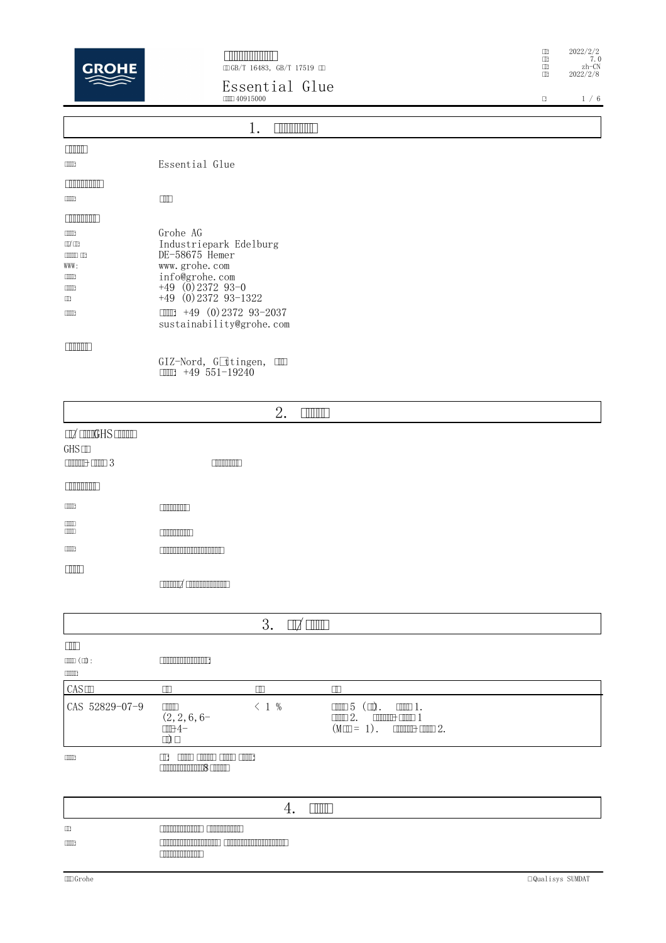

GB/T 16483, GB/T 17519 C

**Essential Glue** 40915000

|                                                                                             | ---------<br>III140915000                                                                                                                                                                           | $\Box$ | 1/6 |
|---------------------------------------------------------------------------------------------|-----------------------------------------------------------------------------------------------------------------------------------------------------------------------------------------------------|--------|-----|
|                                                                                             |                                                                                                                                                                                                     |        |     |
|                                                                                             | 1.<br><b>ENNING BE</b>                                                                                                                                                                              |        |     |
| <b>TIME</b>                                                                                 |                                                                                                                                                                                                     |        |     |
| $\Box$                                                                                      | Essential Glue                                                                                                                                                                                      |        |     |
| <b>ENTIMATE</b>                                                                             |                                                                                                                                                                                                     |        |     |
| $\Box$                                                                                      | $\Box$                                                                                                                                                                                              |        |     |
| <b>FILMINIAN PRO</b>                                                                        |                                                                                                                                                                                                     |        |     |
| $\Box$<br>$\square$<br>$\Box$<br>WWW:<br>$\blacksquare$<br>$\Box$<br>$\Box$<br><b>TITTE</b> | Grohe AG<br>Industriepark Edelburg<br>DE-58675 Hemer<br>www.grohe.com<br>info@grohe.com<br>$+49$ (0) 2372 93-0<br>$+49$ (0) 2372 93-1322<br>$111 + 49$ (0) 2372 93-2037<br>sustainability@grohe.com |        |     |
| <b>TIMERING</b>                                                                             | GIZ-Nord, Göttingen, III<br>+49 551-19240<br>$\Box$                                                                                                                                                 |        |     |

|                                                                                                                                   |                                                                                                                 | 2.<br><b>TIMOT</b>  |                                                                                                                                                                                                                                                                                                                                                                                                                                                                                                                                                                                                                          |  |
|-----------------------------------------------------------------------------------------------------------------------------------|-----------------------------------------------------------------------------------------------------------------|---------------------|--------------------------------------------------------------------------------------------------------------------------------------------------------------------------------------------------------------------------------------------------------------------------------------------------------------------------------------------------------------------------------------------------------------------------------------------------------------------------------------------------------------------------------------------------------------------------------------------------------------------------|--|
| $\Box Z$ $\Box \Box \Box G$ HS $\Box \Box \Box \Box$<br>GHS                                                                       |                                                                                                                 |                     |                                                                                                                                                                                                                                                                                                                                                                                                                                                                                                                                                                                                                          |  |
| $\begin{tabular}{ c c c c c } \hline \quad \quad & \quad \quad & \quad \quad & \quad \quad & \quad \quad \\ \hline \end{tabular}$ | $\Box$                                                                                                          |                     |                                                                                                                                                                                                                                                                                                                                                                                                                                                                                                                                                                                                                          |  |
| <b>THEFTHEFT</b>                                                                                                                  |                                                                                                                 |                     |                                                                                                                                                                                                                                                                                                                                                                                                                                                                                                                                                                                                                          |  |
| $\Box$                                                                                                                            | $\Box$                                                                                                          |                     |                                                                                                                                                                                                                                                                                                                                                                                                                                                                                                                                                                                                                          |  |
| $\Box$<br>$\Box \Box \Box$                                                                                                        | <b>COMMUNITY</b>                                                                                                |                     |                                                                                                                                                                                                                                                                                                                                                                                                                                                                                                                                                                                                                          |  |
| $\Box$                                                                                                                            | <u> E TIMBER DE L'ANNO 1989 (CALIF</u>                                                                          |                     |                                                                                                                                                                                                                                                                                                                                                                                                                                                                                                                                                                                                                          |  |
|                                                                                                                                   |                                                                                                                 |                     |                                                                                                                                                                                                                                                                                                                                                                                                                                                                                                                                                                                                                          |  |
|                                                                                                                                   | common and an announced a state of the state of the state of the state of the state of the state of the state o |                     |                                                                                                                                                                                                                                                                                                                                                                                                                                                                                                                                                                                                                          |  |
|                                                                                                                                   |                                                                                                                 |                     |                                                                                                                                                                                                                                                                                                                                                                                                                                                                                                                                                                                                                          |  |
|                                                                                                                                   |                                                                                                                 | 3.<br>$\Box$ $\Box$ |                                                                                                                                                                                                                                                                                                                                                                                                                                                                                                                                                                                                                          |  |
| $\Box$                                                                                                                            |                                                                                                                 |                     |                                                                                                                                                                                                                                                                                                                                                                                                                                                                                                                                                                                                                          |  |
| $\mathbb{H}(\mathbb{H})\colon$                                                                                                    | <b>THE REAL PROPERTY AND</b>                                                                                    |                     |                                                                                                                                                                                                                                                                                                                                                                                                                                                                                                                                                                                                                          |  |
| $\Box \Box \Box \Box \Box$<br>CAS                                                                                                 | $\Box$                                                                                                          | $\Box$              | $\Box$                                                                                                                                                                                                                                                                                                                                                                                                                                                                                                                                                                                                                   |  |
| CAS 52829-07-9                                                                                                                    | $\Box \Box \Box$<br>$(2, 2, 6, 6-$<br>III <sub>1</sub><br>$\Box$                                                | $\leq$ 1 %          | $\Box \Box \Box 5 \ (\Box).$<br>$\square \square \square$ 1.<br>$\Box \Box \Box 2.$<br>$\frac{1}{2}$ $\frac{1}{2}$ $\frac{1}{2}$ $\frac{1}{2}$ $\frac{1}{2}$<br>$(M \square = 1)$ .<br>$\fbox{11.11}\quad \text{11.12}\quad \text{2.12}\quad \text{2.13}\quad \text{2.14}\quad \text{2.15}\quad \text{2.16}\quad \text{2.16}\quad \text{2.17}\quad \text{2.17}\quad \text{2.17}\quad \text{2.17}\quad \text{2.17}\quad \text{2.17}\quad \text{2.17}\quad \text{2.17}\quad \text{2.17}\quad \text{2.17}\quad \text{2.17}\quad \text{2.17}\quad \text{2.17}\quad \text{2.17}\quad \text{2.17}\quad \text{2.17}\quad \text$ |  |
| $\Box$                                                                                                                            | <u>anno anno anno anno</u><br>$\Box$<br><b>CONTINUES CONTINUES</b>                                              |                     |                                                                                                                                                                                                                                                                                                                                                                                                                                                                                                                                                                                                                          |  |

|        | <b>.</b>                                                                                                                                                         |
|--------|------------------------------------------------------------------------------------------------------------------------------------------------------------------|
| $\Box$ | <u> Timmin T</u><br><u> Timminin Tim</u>                                                                                                                         |
| $\Box$ | <u> Timografia de la contrada de la contrada de la contrada de la contrada de la contrada de la contrada de la c</u><br><b>THE CONTRACT OF STATE</b><br>ammmmm), |

 $\begin{tabular}{ll} $\hspace{2mm} \text{\small III} & 2022/2/2$\\[-0.2cm] $\hspace{2mm} \text{\small III}$ & 7.0 \\[-0.2cm] $\hspace{2mm} \text{\small II}$ & 2022/2/8$ \end{tabular}$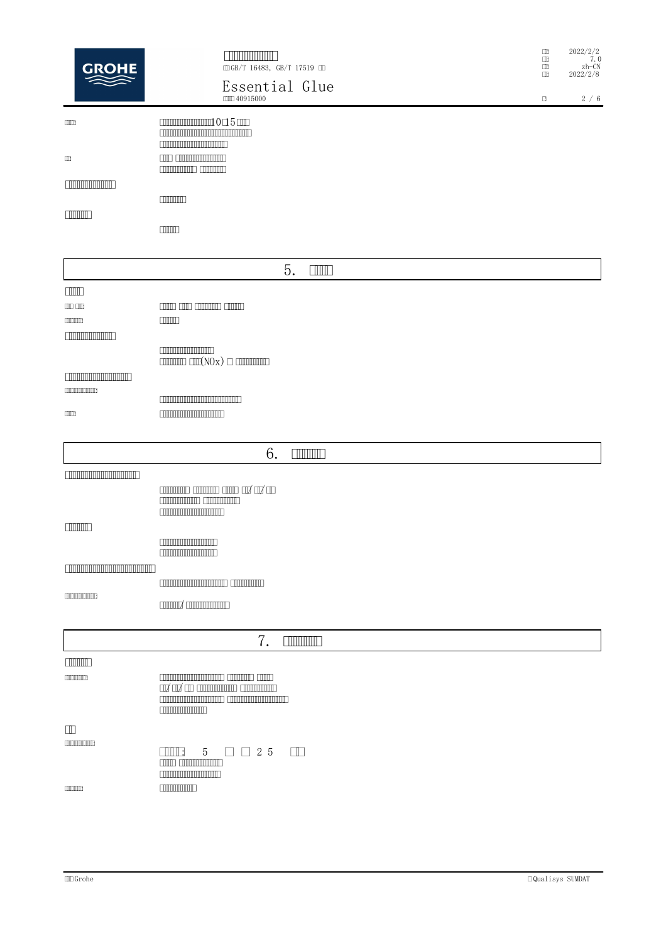| <b>GROHE</b>                                                           | <b>FINITIAL AND IN</b><br>ⅢGB/T 16483, GB/T 17519 Ⅲ<br>Essential Glue<br><b>COLO 40915000</b>                                                                                                                                                                                 | $\Box$<br>$\Box$<br>$\Box$<br>$\Box$<br>$\Box$ | 2022/2/2<br>7.0<br>$zh$ -CN<br>2022/2/8<br>$2\,$ / $\,$ 6 $\,$ |
|------------------------------------------------------------------------|-------------------------------------------------------------------------------------------------------------------------------------------------------------------------------------------------------------------------------------------------------------------------------|------------------------------------------------|----------------------------------------------------------------|
| $\Box$<br>$\hfill \Box$<br><b>THE REAL PROPERTY</b><br><b>CONTRACT</b> | 1015<br><u> Elizabeth Maria (1989)</u><br><b>THE COMMUNIST</b><br><b>COMMON COMMON</b><br><b>TIME THE</b>                                                                                                                                                                     |                                                |                                                                |
|                                                                        | $\Box$                                                                                                                                                                                                                                                                        |                                                |                                                                |
|                                                                        | 5.<br><b>THILL</b>                                                                                                                                                                                                                                                            |                                                |                                                                |
| $\Box$<br>an an<br><b>CONTINUES</b><br><b>COMMUNISTIC</b>              | <u>anno ann annon anno </u><br><b>TITULE</b>                                                                                                                                                                                                                                  |                                                |                                                                |
| <u> ENNIN MINIMINI I</u><br><b>CONDOCORDONES</b>                       | <b>COMMON CONTRACT</b><br>$\boxed{\text{minmin}} \ \text{min}(N0x) \ \Box \ \text{minmin}$                                                                                                                                                                                    |                                                |                                                                |
| $\Box\Box\Box$                                                         | <u> Experimental proportion de la proportion de la proportion de la proportion de la proportion de la proportion de la proportion de la proportion de la proportion de la proportion de la proportion de la proportion de la pro</u><br><b>The Community of the Community</b> |                                                |                                                                |
|                                                                        | 6.<br><b>THULLE</b>                                                                                                                                                                                                                                                           |                                                |                                                                |
|                                                                        | <b>COMMUNIST COMMUNIST</b><br><b>CONTRACTOR</b>                                                                                                                                                                                                                               |                                                |                                                                |
| <b>THEFT</b>                                                           | <b>COMMON DISPONSITION</b><br><b>COMMON DISPUTE</b>                                                                                                                                                                                                                           |                                                |                                                                |
|                                                                        | <b>CONTINUES CONTINUES CONTINUES</b>                                                                                                                                                                                                                                          |                                                |                                                                |
| <b>CONTINUOSITIO</b>                                                   | $\text{max}/\text{min}$                                                                                                                                                                                                                                                       |                                                |                                                                |
|                                                                        | 7.<br><b>THEFT</b>                                                                                                                                                                                                                                                            |                                                |                                                                |
| <b>CONTRACT</b>                                                        |                                                                                                                                                                                                                                                                               |                                                |                                                                |
| <b>CONTINUES</b>                                                       | <b>CONTINUOS CONTINUOS CONTINUOS CONTINUOS CON DE CONTINUOS EN 1989</b><br><b>COMMON DIRECT</b>                                                                                                                                                                               |                                                |                                                                |
| $\hfill\Box$                                                           |                                                                                                                                                                                                                                                                               |                                                |                                                                |
| <b>CONTINUES</b>                                                       | <b>TITLE:</b><br>$\begin{array}{l} \square \square 2 5 \end{array}$<br>$\Box$<br>5 <sup>5</sup><br><b>COOL COORDINATION</b><br><b>CONTINUES IN A SERVICE OF STATE</b><br><b>THE REAL PROPERTY</b>                                                                             |                                                |                                                                |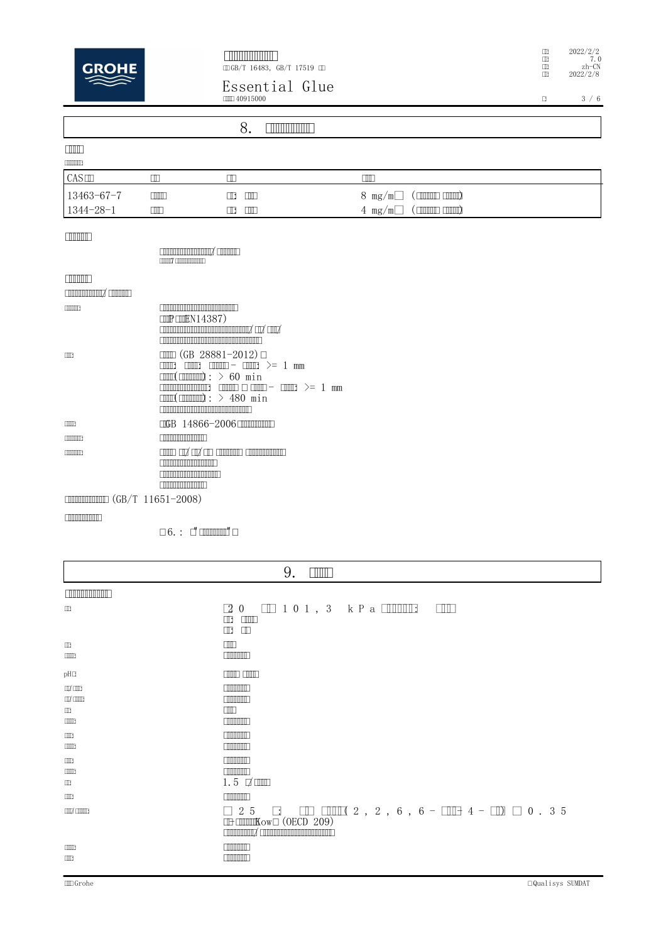

GB/T 16483, GB/T 17519 C

**Essential Glue** 40915000

 $\begin{tabular}{ll} $\hspace{2mm} \text{\small III} & 2022/2/2$\\[-0.2cm] $\hspace{2mm} \text{\small III}$ & 7.0 \\[-0.2cm] $\hspace{2mm} \text{\small II}$ & 2022/2/8$ \end{tabular}$ 

 $\begin{array}{c|c|c|c} \hline 3 & / & 6 \\ \hline \end{array}$ 

| 8.                                                                                                                                                                                                                                                     |                                                                                                                                                                                                                                                                                                                                                                                                 |                                                     |                                           |                                                                                          |
|--------------------------------------------------------------------------------------------------------------------------------------------------------------------------------------------------------------------------------------------------------|-------------------------------------------------------------------------------------------------------------------------------------------------------------------------------------------------------------------------------------------------------------------------------------------------------------------------------------------------------------------------------------------------|-----------------------------------------------------|-------------------------------------------|------------------------------------------------------------------------------------------|
| <b>FTIME</b><br><b>CONTINUES</b>                                                                                                                                                                                                                       |                                                                                                                                                                                                                                                                                                                                                                                                 |                                                     |                                           |                                                                                          |
| CAS                                                                                                                                                                                                                                                    | $\Box$                                                                                                                                                                                                                                                                                                                                                                                          | $\Box$                                              | $\Box$                                    |                                                                                          |
| 13463-67-7<br>1344-28-1                                                                                                                                                                                                                                | mm<br>ПM                                                                                                                                                                                                                                                                                                                                                                                        | m<br>$\Box$<br>m<br>$\Box$                          | $8 \text{ mg/m}^3$<br>4 mg/m <sup>3</sup> | $(\Box \Box \Box \Box \Box \Box \Box \Box$<br>$(\Box \Box \Box \Box \Box \Box \Box \Box$ |
| <b>THE REAL</b>                                                                                                                                                                                                                                        | <b>Commonnements</b> Common<br>T                                                                                                                                                                                                                                                                                                                                                                |                                                     |                                           |                                                                                          |
| <b>TIMMIN</b><br><b>CONTINUES AND STATE</b>                                                                                                                                                                                                            |                                                                                                                                                                                                                                                                                                                                                                                                 |                                                     |                                           |                                                                                          |
| <b>COOPER</b>                                                                                                                                                                                                                                          | <u>e anno anno anno anno anno 1</u><br>$\Box P \Box P \Box P$<br><u>noonaanaanaanaanaanaanaa</u> / caa/ caa/                                                                                                                                                                                                                                                                                    |                                                     |                                           |                                                                                          |
| $\Box$                                                                                                                                                                                                                                                 | $\Box$ (GB 28881-2012) $\Box$<br>$\begin{array}{ccc}\n\text{min} & \text{min} - \text{min} >= &1 \text{ min}\n\end{array}$<br><b>TTTT</b><br>$\text{dim}(\text{dim} x: > 60 \text{ min})$<br>$\text{min}(\text{min})$ : > 480 min<br><u> Ennancia de la componentación de la componentación de la componentación de la componentación de la componentación de la componentación de la compo</u> |                                                     |                                           |                                                                                          |
| $\Box$                                                                                                                                                                                                                                                 | <b>CGB</b> 14866-2006 <b>CHIMMINING</b>                                                                                                                                                                                                                                                                                                                                                         |                                                     |                                           |                                                                                          |
| <b>TIME OF</b>                                                                                                                                                                                                                                         | <b>COMMON CONTRACT</b>                                                                                                                                                                                                                                                                                                                                                                          |                                                     |                                           |                                                                                          |
| <b>CONTINUES</b><br>$\mathcal{L}$ . The same of the same of the same of the same of the same of the same of the same of the same of the same of the same of the same of the same of the same of the same of the same of the same of the same of the sa | <b>CONTROL CONTROL</b><br><u> E TIMBULATIN MATEMATIK S</u><br><b>CONTINUES AND LOCATION</b>                                                                                                                                                                                                                                                                                                     | <u>communications communications communications</u> |                                           |                                                                                          |

(GB/T 11651-2008)

 $\Box$  6. :  $\Box$   $\Box$   $\Box$   $\Box$   $\Box$   $\Box$   $\Box$ 

| 9.<br><b>THILL</b>                          |                                                                                                                                                                     |  |
|---------------------------------------------|---------------------------------------------------------------------------------------------------------------------------------------------------------------------|--|
| <b>ENTIMATION AND LONG</b>                  |                                                                                                                                                                     |  |
| $\Box$                                      | $20$ $\Box$ 101, 3 kPa $\Box$<br><b>TILL</b><br>$\Box$<br>$\Box$<br>$\mathbb{L}$ $\mathbb{L}$                                                                       |  |
| $\Box$<br>$\Box$                            | $\Box\Box$<br><b>TIME THE TIME</b>                                                                                                                                  |  |
| pH□                                         | $\Box$ $\Box$ $\Box$ $\Box$ $\Box$ $\Box$ $\Box$ $\Box$ $\Box$                                                                                                      |  |
| $\Box Z'$ $\Box$ $\Box$<br>$\Box$<br>$\Box$ | <b>FIRTH TIME</b><br><b>TIME THE</b><br>$\Box$<br>$\Box$                                                                                                            |  |
| $\Box \Box$<br>$\Box$                       | <b>FINDINAL</b><br><b>INTERNATIONAL</b>                                                                                                                             |  |
| $\Box$<br>$\Box$<br>$\Box$                  | $\Box$<br><b>TIME THE TIME</b><br>$1.5$ $\Box$                                                                                                                      |  |
| $\Box \Box$                                 | <b>THE REAL PROPERTY</b>                                                                                                                                            |  |
| <b>COOX</b> COOLER                          | $\Box$ 2 5 $\Box$ $\Box$ $\Box$ $\Box$ $\Box$ 2 , 2 , 6 , 6 - $\Box$ 4 - $\Box$ $\Box$ 0 . 3 5<br><b>IDE LITTLEKOWE (OECD 209)</b><br>Common X Common Common Common |  |
| $\Box$<br>$\Box$                            | <b>FIRTH TIME</b><br><b>THE REAL PROPERTY</b>                                                                                                                       |  |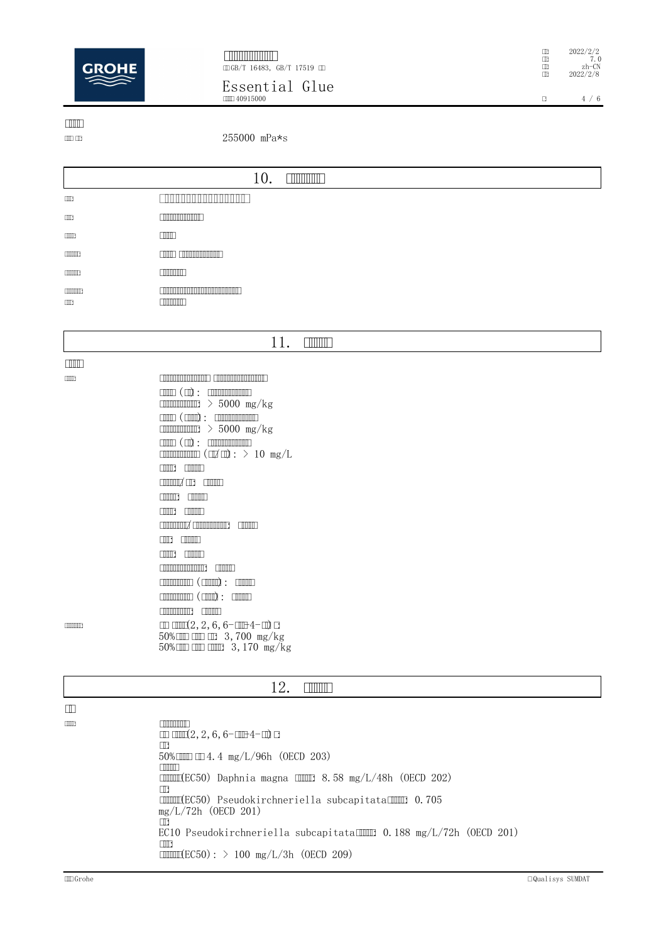

**THE BELLET AND LO** GB/T 16483, GB/T 17519

**Essential Glue**

mm 40915000

 $\begin{array}{cc}\n\Box & 2022/2/2 \\
\Box & 7.0 \\
\Box & \text{zh-CN}\n\end{array}$ : 2022/2/8

 $\Box$ <br/> $4 \not \quad 6$ 

 $\Box$ 

: 255000 mPa\*s

|                            | 10.<br><b>THULLIDE</b>           |
|----------------------------|----------------------------------|
| $\Box$                     |                                  |
| $\Box$                     | <b>COMMON DISPUTE</b>            |
| $\Box\Box\Box$             | $\Box$                           |
| <b>COORD 3</b>             | <u> Elimini ministrativ</u><br>M |
| <b>CONTINUES</b>           | <b>TIME THE T</b>                |
| <b>CONTINUES</b><br>$\Box$ | <b>TIME THE T</b>                |

## **11.**

 $\Box$ 

<u>ו התחתחתה החתחתה החתחתה החתחתה החתחתה המוצ</u>ב במוצר במוצר  $\begin{tabular}{ll} \hline \hline & \multicolumn{3}{l}{\textbf{min}} \end{tabular} \begin{tabular}{ll} \hline \multicolumn{3}{l}{\textbf{min}} \end{tabular} \begin{tabular}{ll} \hline \multicolumn{3}{l}{\textbf{min}} \end{tabular}$  $\frac{1}{2}$  > 5000 mg/kg  $\begin{tabular}{ll} \hline \hline \multicolumn{3}{l}{\textbf{min}} & \multicolumn{3}{l}{\textbf{min}} \\ \multicolumn{3}{l}{\textbf{min}} & \multicolumn{3}{l}{\textbf{min}} \\ \multicolumn{3}{l}{\textbf{min}} & \multicolumn{3}{l}{\textbf{min}} \\ \multicolumn{3}{l}{\textbf{min}} & \multicolumn{3}{l}{\textbf{min}} \\ \multicolumn{3}{l}{\textbf{min}} & \multicolumn{3}{l}{\textbf{min}} \\ \multicolumn{3}{l}{\textbf{min}} & \multicolumn{3}{l}{\textbf{min}} \\ \multicolumn{3}{l}{\textbf{min$  $\frac{1}{2}$  > 5000 mg/kg  $\begin{tabular}{ll} \hline \hline & \multicolumn{3}{l}{\textbf{min}} \ ( \textbf{m} ) : & \multicolumn{3}{l}{\textbf{min}} \end{tabular}$  $\frac{1}{\sqrt{2}}$  ( $\frac{1}{\sqrt{2}}$  ( $\frac{1}{\sqrt{2}}$ ): > 10 mg/L **ENTER** ENTITLE **CONOOL** CON CONTINUE **CONTECT CONTECT COOL** COOL /: **END** ENDE **FINITE**: FINITE : (): (): **EXPLANATION EXPLANATION**  $\Box\Box\Box(2, 2, 6, 6-\Box\Box+4-\Box) \Box$  $50\%$  CM cM  $\Box$  3,700 mg/kg  $50\%$  CHO CHO CHO 3, 170 mg/kg

## **12.**

 $\Box$ 

**EXECUTES CONTRACTES**  $\Box$  $\Box$  $\Box$  $(2, 2, 6, 6$ - $\Box$  $\Box$  $4$ - $\Box$ ) $\Box$  $\Box$  $50\%$  **1111**  $\Box$  4.4 mg/L/96h (OECD 203)  $\Box \Box \Box \Box$  $\overline{un}\$ (EC50) Daphnia magna  $\overline{un}\$  8.58 mg/L/48h (OECD 202)  $\Box$  $mmin(EC50)$  Pseudokirchneriella subcapitata $mm$  0.705 mg/L/72h (OECD 201)  $\Box$ EC10 Pseudokirchneriella subcapitata[IIII] 0.188 mg/L/72h (OECD 201) :  $\text{min}(EC50):$  > 100 mg/L/3h (OECD 209)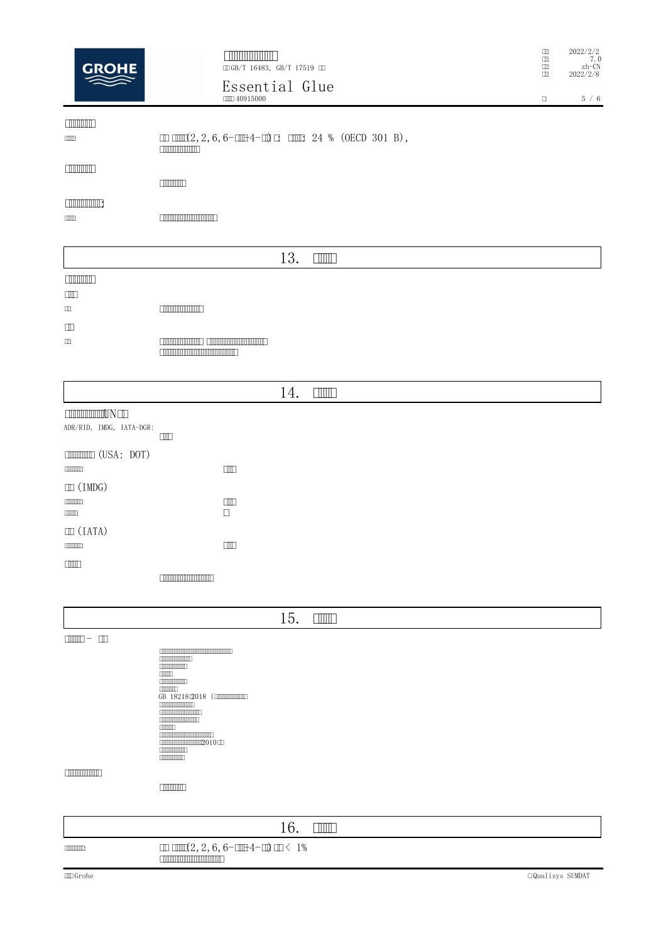| <b>GROHE</b>                                                                 | <b>ENIMINATION</b><br>CDGB/T 16483, GB/T 17519 CD<br>Essential Glue<br><b>COLO 40915000</b>                                                                                                                                                                                                                             | Ш<br>$\Box$<br>$\Box$<br>$\Box$<br>$\Box$ | 2022/2/2<br>7.0<br>$zh$ -CN<br>2022/2/8<br>5/6 |
|------------------------------------------------------------------------------|-------------------------------------------------------------------------------------------------------------------------------------------------------------------------------------------------------------------------------------------------------------------------------------------------------------------------|-------------------------------------------|------------------------------------------------|
| <b>TIMMIN</b><br>$\Box\Box\Box$                                              | $\boxed{\text{min}(2, 2, 6, 6-\text{min-4}-\text{min 24 % (OECD 301 B))},}$<br><b>COMMON DIRECT</b>                                                                                                                                                                                                                     |                                           |                                                |
| $\Box$                                                                       |                                                                                                                                                                                                                                                                                                                         |                                           |                                                |
| <b>THE REAL PROPERTY</b><br>$\Box\Box\Box$                                   | <u> Elizabeth Maria (1989) e seu a seu a freisin a seu a freisin a seu a freisin a freisin a freisin a freisin a </u>                                                                                                                                                                                                   |                                           |                                                |
|                                                                              | 13.<br><b>THULL</b>                                                                                                                                                                                                                                                                                                     |                                           |                                                |
| <b>COMMUNITY</b><br>$\Box$<br>$\hfill \Box$<br>$\hfill\Box$<br>$\hfill \Box$ | <u> Elizabeth Maria San Barbara (</u><br><b>CONTRACTOR</b> CONTRACTOR CONTRACTO<br><u>E anno ann an Dùbhlachd ann an Dùbhlachd ann an Dùbhlachd ann an Dùbhlachd ann an Dùbhlachd ann an Dùbhlachd ann an Dùbhlachd ann an Dùbhlachd ann an Dùbhlachd ann an Dùbhlachd ann an Dùbhlachd ann an Dùbhlachd ann an Dùb</u> |                                           |                                                |
|                                                                              | 14.<br><b>THULL</b>                                                                                                                                                                                                                                                                                                     |                                           |                                                |
| <b>COMMON CONCRETE ON THE STATE</b><br>ADR/RID, IMDG, IATA-DGR:              | $\Box$                                                                                                                                                                                                                                                                                                                  |                                           |                                                |
| $\Box$ (USA: DOT)                                                            |                                                                                                                                                                                                                                                                                                                         |                                           |                                                |
| <b>CONTINUES</b><br>$\mathbb{I}$ (IMDG)                                      | $\Box$                                                                                                                                                                                                                                                                                                                  |                                           |                                                |
| [1111111]<br>0000                                                            | $\Box$<br>$\Box$                                                                                                                                                                                                                                                                                                        |                                           |                                                |
| $\Box$ (IATA)                                                                | $\Box\Box$                                                                                                                                                                                                                                                                                                              |                                           |                                                |
| $\Box$                                                                       | <b>COMMON DIRECT</b>                                                                                                                                                                                                                                                                                                    |                                           |                                                |
|                                                                              | 15.<br>$\Box$                                                                                                                                                                                                                                                                                                           |                                           |                                                |

|                   | 15.<br><b>THILL</b>                                                                                                                                                                                                                                                                                                                                                   |
|-------------------|-----------------------------------------------------------------------------------------------------------------------------------------------------------------------------------------------------------------------------------------------------------------------------------------------------------------------------------------------------------------------|
|                   |                                                                                                                                                                                                                                                                                                                                                                       |
|                   | <b>COMMON DIRECT</b><br><b>CONTINUES</b><br>$\Box$<br><b>CONTINUES</b><br><b>CONTINUES</b><br>GB 18218(2018 (INTERNATIONAL<br><b>CONTINUORDINAL</b><br><b>CONTROLLED AND STATE</b><br><b>CONTINUOS DE LA CALIFACTIVA EL CALIFACTIVA EL CALIFACTIVA EL CALIFACTIVA EL CALIFACTIVA EL CALIFACTIVA EL CALI</b><br><b>CONTROL</b><br><b>CONTINUES</b><br><b>CONTINUES</b> |
| <u>רחחחחחחחחח</u> | <b>COMMUNITY</b>                                                                                                                                                                                                                                                                                                                                                      |
|                   |                                                                                                                                                                                                                                                                                                                                                                       |
|                   | $1 \subset$<br>$\Box$                                                                                                                                                                                                                                                                                                                                                 |

| <b>TIONICO</b> | $\text{min}(2, 2, 6, 6-\text{min-4}-\text{min})$ and 1%<br>Thinking the contribution of the contribution of the contribution of the contribution of the contribution of t |                        |
|----------------|---------------------------------------------------------------------------------------------------------------------------------------------------------------------------|------------------------|
| $\Box$ Grohe   |                                                                                                                                                                           | $\Box$ Qualisys SUMDAT |